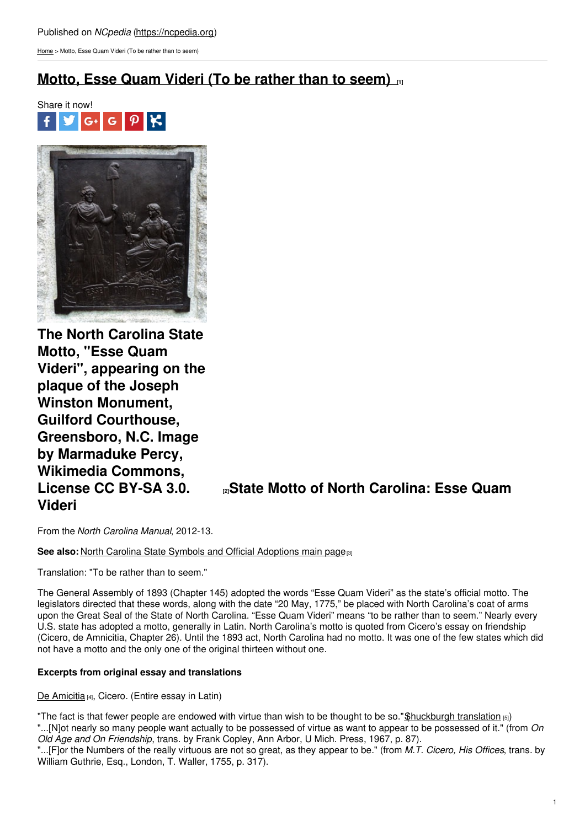## Published on *NCpedia* [\(https://ncpedia.org](https://ncpedia.org))

[Home](https://ncpedia.org/) > Motto, Esse Quam Videri (To be rather than to seem)

# **[Motto,](https://ncpedia.org/motto-esse-quam-videri-be-rather) Esse Quam Videri (To be rather than to seem) [1]**





**The North Carolina State Motto, "Esse Quam Videri", appearing on the plaque of the Joseph Winston Monument, Guilford Courthouse, Greensboro, N.C. Image by Marmaduke Percy, Wikimedia Commons, Videri**

**[License](https://en.wikipedia.org/wiki/Esse_quam_videri) CC BY-SA 3.0. [2]State Motto of North Carolina: Esse Quam**

From the *North Carolina Manual*, 2012-13.

**See also: North Carolina State Symbols and Official [Adoptions](https://ncpedia.org/symbols) main page<sup>[3]</sup>** 

Translation: "To be rather than to seem."

The General Assembly of 1893 (Chapter 145) adopted the words "Esse Quam Videri" as the state's official motto. The legislators directed that these words, along with the date "20 May, 1775," be placed with North Carolina's coat of arms upon the Great Seal of the State of North Carolina. "Esse Quam Videri" means "to be rather than to seem." Nearly every U.S. state has adopted a motto, generally in Latin. North Carolina's motto is quoted from Cicero's essay on friendship (Cicero, de Amnicitia, Chapter 26). Until the 1893 act, North Carolina had no motto. It was one of the few states which did not have a motto and the only one of the original thirteen without one.

### **Excerpts from original essay and translations**

De [Amicitia](http://www.thelatinlibrary.com/cicero/amic.shtml) [4], Cicero. (Entire essay in Latin)

"The fact is that fewer people are endowed with virtue than wish to be thought to be so." Shuckburgh translation  $_{[5]}$ ) "...[N]ot nearly so many people want actually to be possessed of virtue as want to appear to be possessed of it." (from *On Old Age and On Friendship*, trans. by Frank Copley, Ann Arbor, U Mich. Press, 1967, p. 87).

"...[F]or the Numbers of the really virtuous are not so great, as they appear to be." (from *M.T. Cicero, His Offices*, trans. by William Guthrie, Esq., London, T. Waller, 1755, p. 317).